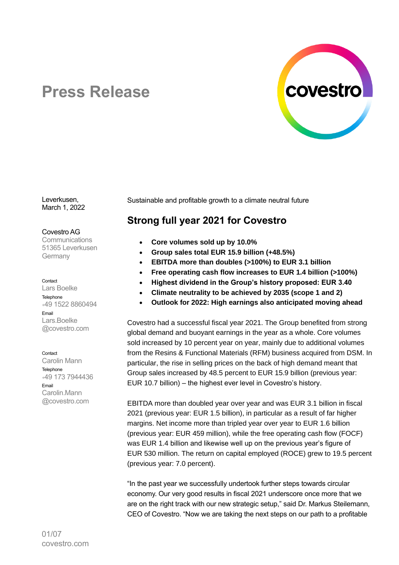

# **Press Release**

Leverkusen, March 1, 2022

#### Covestro AG

**Communications** 51365 Leverkusen Germany

#### Contact

Lars Boelke **Telephone** <sup>+</sup>49 1522 8860494 Email Lars.Boelke @covestro.com

**Contact** 

Carolin Mann Telephone <sup>+</sup>49 173 7944436 Email Carolin.Mann @covestro.com

Sustainable and profitable growth to a climate neutral future

# **Strong full year 2021 for Covestro**

- **Core volumes sold up by 10.0%**
- **Group sales total EUR 15.9 billion (+48.5%)**
- **EBITDA more than doubles (>100%) to EUR 3.1 billion**
- **Free operating cash flow increases to EUR 1.4 billion (>100%)**
- **Highest dividend in the Group's history proposed: EUR 3.40**
- **Climate neutrality to be achieved by 2035 (scope 1 and 2)**
- **Outlook for 2022: High earnings also anticipated moving ahead**

Covestro had a successful fiscal year 2021. The Group benefited from strong global demand and buoyant earnings in the year as a whole. Core volumes sold increased by 10 percent year on year, mainly due to additional volumes from the Resins & Functional Materials (RFM) business acquired from DSM. In particular, the rise in selling prices on the back of high demand meant that Group sales increased by 48.5 percent to EUR 15.9 billion (previous year: EUR 10.7 billion) – the highest ever level in Covestro's history.

EBITDA more than doubled year over year and was EUR 3.1 billion in fiscal 2021 (previous year: EUR 1.5 billion), in particular as a result of far higher margins. Net income more than tripled year over year to EUR 1.6 billion (previous year: EUR 459 million), while the free operating cash flow (FOCF) was EUR 1.4 billion and likewise well up on the previous year's figure of EUR 530 million. The return on capital employed (ROCE) grew to 19.5 percent (previous year: 7.0 percent).

"In the past year we successfully undertook further steps towards circular economy. Our very good results in fiscal 2021 underscore once more that we are on the right track with our new strategic setup," said Dr. Markus Steilemann, CEO of Covestro. "Now we are taking the next steps on our path to a profitable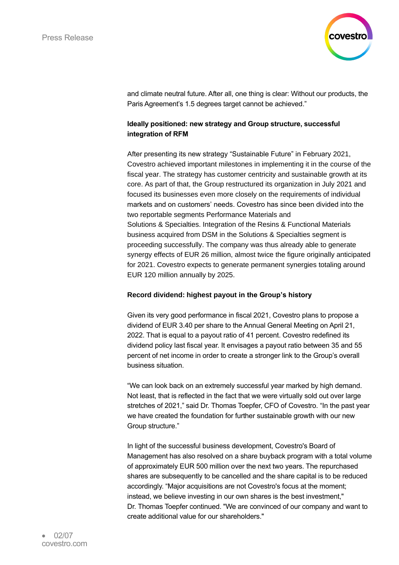

and climate neutral future. After all, one thing is clear: Without our products, the Paris Agreement's 1.5 degrees target cannot be achieved."

# **Ideally positioned: new strategy and Group structure, successful integration of RFM**

After presenting its new strategy "Sustainable Future" in February 2021, Covestro achieved important milestones in implementing it in the course of the fiscal year. The strategy has customer centricity and sustainable growth at its core. As part of that, the Group restructured its organization in July 2021 and focused its businesses even more closely on the requirements of individual markets and on customers' needs. Covestro has since been divided into the two reportable segments Performance Materials and Solutions & Specialties. Integration of the Resins & Functional Materials business acquired from DSM in the Solutions & Specialties segment is proceeding successfully. The company was thus already able to generate synergy effects of EUR 26 million, almost twice the figure originally anticipated for 2021. Covestro expects to generate permanent synergies totaling around EUR 120 million annually by 2025.

# **Record dividend: highest payout in the Group's history**

Given its very good performance in fiscal 2021, Covestro plans to propose a dividend of EUR 3.40 per share to the Annual General Meeting on April 21, 2022. That is equal to a payout ratio of 41 percent. Covestro redefined its dividend policy last fiscal year. It envisages a payout ratio between 35 and 55 percent of net income in order to create a stronger link to the Group's overall business situation.

"We can look back on an extremely successful year marked by high demand. Not least, that is reflected in the fact that we were virtually sold out over large stretches of 2021," said Dr. Thomas Toepfer, CFO of Covestro. "In the past year we have created the foundation for further sustainable growth with our new Group structure."

In light of the successful business development, Covestro's Board of Management has also resolved on a share buyback program with a total volume of approximately EUR 500 million over the next two years. The repurchased shares are subsequently to be cancelled and the share capital is to be reduced accordingly. "Major acquisitions are not Covestro's focus at the moment; instead, we believe investing in our own shares is the best investment," Dr. Thomas Toepfer continued. "We are convinced of our company and want to create additional value for our shareholders."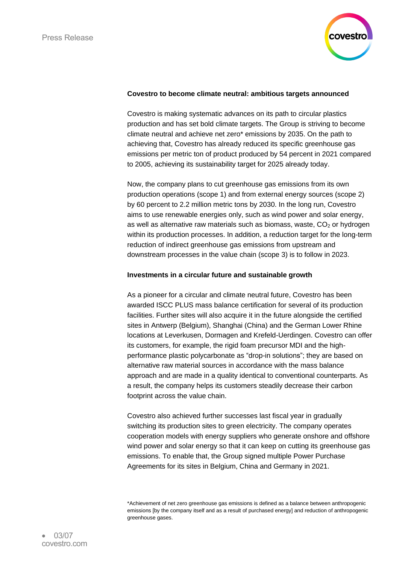

#### **Covestro to become climate neutral: ambitious targets announced**

Covestro is making systematic advances on its path to circular plastics production and has set bold climate targets. The Group is striving to become climate neutral and achieve net zero\* emissions by 2035. On the path to achieving that, Covestro has already reduced its specific greenhouse gas emissions per metric ton of product produced by 54 percent in 2021 compared to 2005, achieving its sustainability target for 2025 already today.

Now, the company plans to cut greenhouse gas emissions from its own production operations (scope 1) and from external energy sources (scope 2) by 60 percent to 2.2 million metric tons by 2030. In the long run, Covestro aims to use renewable energies only, such as wind power and solar energy, as well as alternative raw materials such as biomass, waste,  $CO<sub>2</sub>$  or hydrogen within its production processes. In addition, a reduction target for the long-term reduction of indirect greenhouse gas emissions from upstream and downstream processes in the value chain (scope 3) is to follow in 2023.

#### **Investments in a circular future and sustainable growth**

As a pioneer for a circular and climate neutral future, Covestro has been awarded ISCC PLUS mass balance certification for several of its production facilities. Further sites will also acquire it in the future alongside the certified sites in Antwerp (Belgium), Shanghai (China) and the German Lower Rhine locations at Leverkusen, Dormagen and Krefeld-Uerdingen. Covestro can offer its customers, for example, the rigid foam precursor MDI and the highperformance plastic polycarbonate as "drop-in solutions"; they are based on alternative raw material sources in accordance with the mass balance approach and are made in a quality identical to conventional counterparts. As a result, the company helps its customers steadily decrease their carbon footprint across the value chain.

Covestro also achieved further successes last fiscal year in gradually switching its production sites to green electricity. The company operates cooperation models with energy suppliers who generate onshore and offshore wind power and solar energy so that it can keep on cutting its greenhouse gas emissions. To enable that, the Group signed multiple Power Purchase Agreements for its sites in Belgium, China and Germany in 2021.

<sup>\*</sup>Achievement of net zero greenhouse gas emissions is defined as a balance between anthropogenic emissions [by the company itself and as a result of purchased energy] and reduction of anthropogenic greenhouse gases.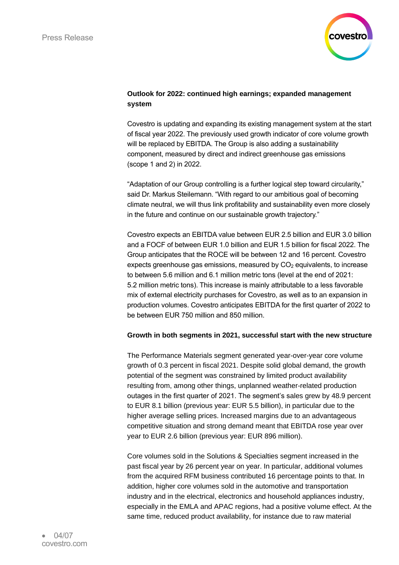

#### **Outlook for 2022: continued high earnings; expanded management system**

Covestro is updating and expanding its existing management system at the start of fiscal year 2022. The previously used growth indicator of core volume growth will be replaced by EBITDA. The Group is also adding a sustainability component, measured by direct and indirect greenhouse gas emissions (scope 1 and 2) in 2022.

"Adaptation of our Group controlling is a further logical step toward circularity," said Dr. Markus Steilemann. "With regard to our ambitious goal of becoming climate neutral, we will thus link profitability and sustainability even more closely in the future and continue on our sustainable growth trajectory."

Covestro expects an EBITDA value between EUR 2.5 billion and EUR 3.0 billion and a FOCF of between EUR 1.0 billion and EUR 1.5 billion for fiscal 2022. The Group anticipates that the ROCE will be between 12 and 16 percent. Covestro expects greenhouse gas emissions, measured by  $CO<sub>2</sub>$  equivalents, to increase to between 5.6 million and 6.1 million metric tons (level at the end of 2021: 5.2 million metric tons). This increase is mainly attributable to a less favorable mix of external electricity purchases for Covestro, as well as to an expansion in production volumes. Covestro anticipates EBITDA for the first quarter of 2022 to be between EUR 750 million and 850 million.

# **Growth in both segments in 2021, successful start with the new structure**

The Performance Materials segment generated year-over-year core volume growth of 0.3 percent in fiscal 2021. Despite solid global demand, the growth potential of the segment was constrained by limited product availability resulting from, among other things, unplanned weather-related production outages in the first quarter of 2021. The segment's sales grew by 48.9 percent to EUR 8.1 billion (previous year: EUR 5.5 billion), in particular due to the higher average selling prices. Increased margins due to an advantageous competitive situation and strong demand meant that EBITDA rose year over year to EUR 2.6 billion (previous year: EUR 896 million).

Core volumes sold in the Solutions & Specialties segment increased in the past fiscal year by 26 percent year on year. In particular, additional volumes from the acquired RFM business contributed 16 percentage points to that. In addition, higher core volumes sold in the automotive and transportation industry and in the electrical, electronics and household appliances industry, especially in the EMLA and APAC regions, had a positive volume effect. At the same time, reduced product availability, for instance due to raw material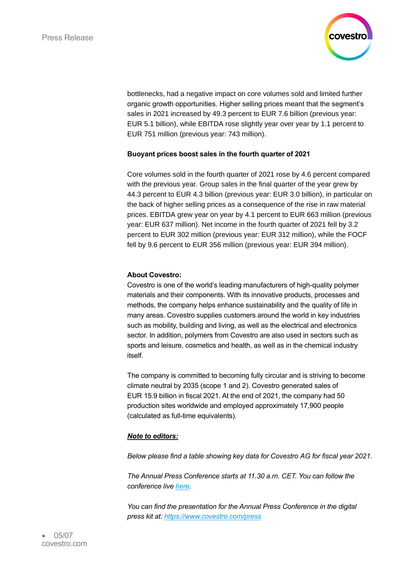

bottlenecks, had a negative impact on core volumes sold and limited further organic growth opportunities. Higher selling prices meant that the segment's sales in 2021 increased by 49.3 percent to EUR 7.6 billion (previous year: EUR 5.1 billion), while EBITDA rose slightly year over year by 1.1 percent to EUR 751 million (previous year: 743 million).

#### **Buoyant prices boost sales in the fourth quarter of 2021**

Core volumes sold in the fourth quarter of 2021 rose by 4.6 percent compared with the previous year. Group sales in the final quarter of the year grew by 44.3 percent to EUR 4.3 billion (previous year: EUR 3.0 billion), in particular on the back of higher selling prices as a consequence of the rise in raw material prices. EBITDA grew year on year by 4.1 percent to EUR 663 million (previous year: EUR 637 million). Net income in the fourth quarter of 2021 fell by 3.2 percent to EUR 302 million (previous year: EUR 312 million), while the FOCF fell by 9.6 percent to EUR 356 million (previous year: EUR 394 million).

#### **About Covestro:**

Covestro is one of the world's leading manufacturers of high-quality polymer materials and their components. With its innovative products, processes and methods, the company helps enhance sustainability and the quality of life in many areas. Covestro supplies customers around the world in key industries such as mobility, building and living, as well as the electrical and electronics sector. In addition, polymers from Covestro are also used in sectors such as sports and leisure, cosmetics and health, as well as in the chemical industry itself.

The company is committed to becoming fully circular and is striving to become climate neutral by 2035 (scope 1 and 2). Covestro generated sales of EUR 15.9 billion in fiscal 2021. At the end of 2021, the company had 50 production sites worldwide and employed approximately 17,900 people (calculated as full-time equivalents).

# *Note to editors:*

*Below please find a table showing key data for Covestro AG for fiscal year 2021.*

*The Annual Press Conference starts at 11.30 a.m. CET. You can follow the conference live [here.](https://teams.microsoft.com/l/meetup-join/19%3ameeting_N2RhZjBjYTMtZDVjMi00MDhlLWIxMTItMjk2YTYxZjEwNWUx%40thread.v2/0?context=%7b%22Tid%22%3a%220468bc4a-134c-4fb0-b843-a2a3d583e919%22%2c%22Oid%22%3a%22f028dd18-0717-4b03-bfc8-17559c2a3334%22%2c%22IsBroadcastMeeting%22%3atrue%7d&btype=a&role=a)*

*You can find the presentation for the Annual Press Conference in the digital press kit at: <https://www.covestro.com/press>*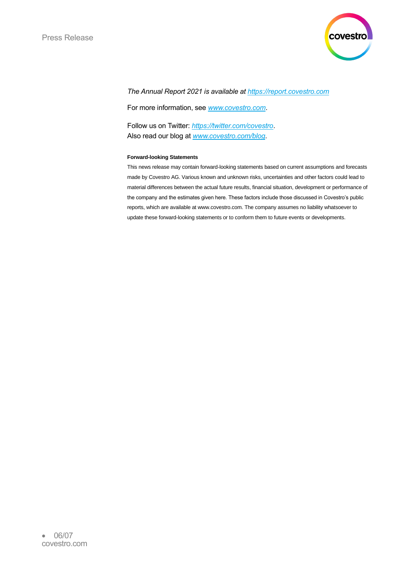

#### *The Annual Report 2021 is available at [https://report.covestro.com](https://report.covestro.com/)*

For more information, see *[www.covestro.com](http://www.covestro.com/)*.

Follow us on Twitter: *<https://twitter.com/covestro>*. Also read our blog at *[www.covestro.com/blog](http://www.covestro.com/blog)*.

#### **Forward-looking Statements**

This news release may contain forward-looking statements based on current assumptions and forecasts made by Covestro AG. Various known and unknown risks, uncertainties and other factors could lead to material differences between the actual future results, financial situation, development or performance of the company and the estimates given here. These factors include those discussed in Covestro's public reports, which are available at www.covestro.com. The company assumes no liability whatsoever to update these forward-looking statements or to conform them to future events or developments.